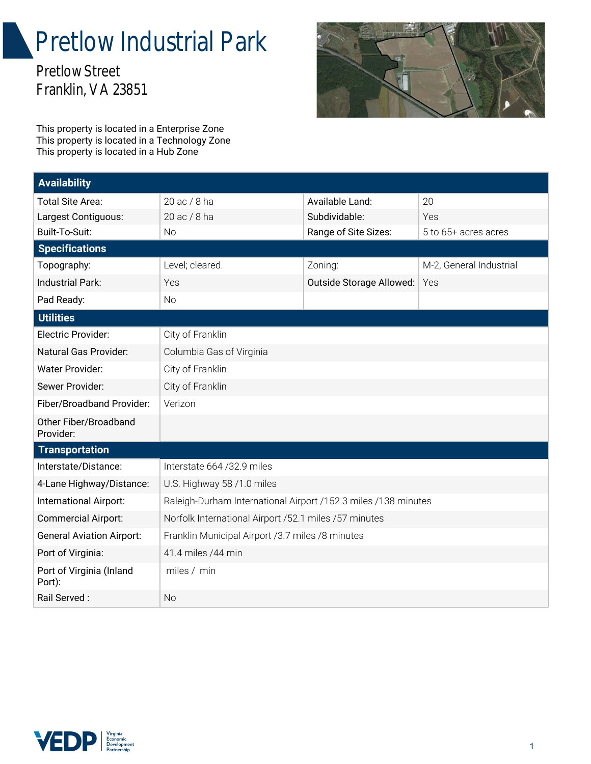## Pretlow Industrial Park

Pretlow Street Franklin, VA 23851



This property is located in a Enterprise Zone This property is located in a Technology Zone This property is located in a Hub Zone

| <b>Availability</b>                |                                                                |                          |                         |
|------------------------------------|----------------------------------------------------------------|--------------------------|-------------------------|
| <b>Total Site Area:</b>            | 20 ac / 8 ha                                                   | Available Land:          | 20                      |
| Largest Contiguous:                | 20 ac / 8 ha                                                   | Subdividable:            | Yes                     |
| Built-To-Suit:                     | <b>No</b>                                                      | Range of Site Sizes:     | 5 to 65+ acres acres    |
| <b>Specifications</b>              |                                                                |                          |                         |
| Topography:                        | Level; cleared.                                                | Zoning:                  | M-2, General Industrial |
| <b>Industrial Park:</b>            | Yes                                                            | Outside Storage Allowed: | Yes                     |
| Pad Ready:                         | <b>No</b>                                                      |                          |                         |
| <b>Utilities</b>                   |                                                                |                          |                         |
| Electric Provider:                 | City of Franklin                                               |                          |                         |
| Natural Gas Provider:              | Columbia Gas of Virginia                                       |                          |                         |
| <b>Water Provider:</b>             | City of Franklin                                               |                          |                         |
| Sewer Provider:                    | City of Franklin                                               |                          |                         |
| Fiber/Broadband Provider:          | Verizon                                                        |                          |                         |
| Other Fiber/Broadband<br>Provider: |                                                                |                          |                         |
| <b>Transportation</b>              |                                                                |                          |                         |
| Interstate/Distance:               | Interstate 664 /32.9 miles                                     |                          |                         |
| 4-Lane Highway/Distance:           | U.S. Highway 58 /1.0 miles                                     |                          |                         |
| International Airport:             | Raleigh-Durham International Airport /152.3 miles /138 minutes |                          |                         |
| <b>Commercial Airport:</b>         | Norfolk International Airport /52.1 miles /57 minutes          |                          |                         |
| <b>General Aviation Airport:</b>   | Franklin Municipal Airport /3.7 miles /8 minutes               |                          |                         |
| Port of Virginia:                  | 41.4 miles / 44 min                                            |                          |                         |
| Port of Virginia (Inland<br>Port): | miles / min                                                    |                          |                         |
| Rail Served:                       | <b>No</b>                                                      |                          |                         |